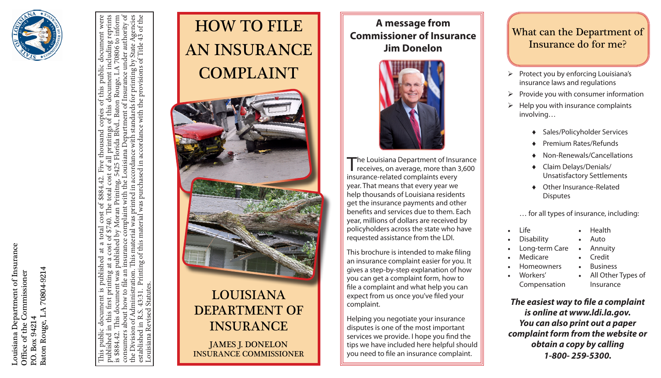Couisiana Department of Insurance Louisiana Department of Insurance 70804-9214 Baton Rouge, LA 70804-9214 Office of the Commissioner Office of the Commissioner Baton Rouge, LA P.O. Box 94214 P.O. Box 94214



consumers about how to file an insurance complaint with the Louisiana Department of Insurance under authority of This public document is published at a total cost of \$884.42. Five thousand copies of this public document were published in this first printing at a cost of \$740. The total cost of all printings of this document including reprints is \$884.42. This document was published by Moran Prinitng, 5425 Florida Blvd., Baton Rouge, LA 70806 to inform the Division of Administration. This material was printed in accordance with standards for printing by State Agencies established in R.S. 43:31. Printing of this material was purchased in accordance with the provisions of Title 43 of the with the Louisiana Department of Insurance under authority o Agencies to inform document by State *1*<br>of Title . ncludin 70806 for printing by  $\Delta$ provisions ent Florida Blvd., Baton Rouge, docum  $the<sub>1</sub>$  $\mathcal{L}$ This material was printed in accordance with standard with was purchased in accordance thousand printin  $\exists$ 5425  $\mathfrak{o}\mathfrak{f}$  $cost$ Prinitng, Moran nsurance complaint material  $\overline{6}$ oublished by ੋ Printing of this  $\ddot{a}$ publishe an was dministration. now to file Louisiana Revised Statutes. ent **Statutes** दं sed about This ⇄ Division of ouisiana Rev  $\Xi$ ರ public consumers stablished \$884.42. shed siduc  $\overline{he}$ 



# LOUISIANA DEPARTMENT OF INSURANCE

JAMES J. DONELON INSURANCE COMMISSIONER

**A message from Commissioner of Insurance Jim Donelon**



The Louisiana Department of Insurance receives, on average, more than 3,600 insurance-related complaints every year. That means that every year we help thousands of Louisiana residents get the insurance payments and other benefits and services due to them. Each year, millions of dollars are received by policyholders across the state who have requested assistance from the LDI.

This brochure is intended to make filing an insurance complaint easier for you. It gives a step-by-step explanation of how you can get a complaint form, how to file a complaint and what help you can expect from us once you've filed your complaint.

Helping you negotiate your insurance disputes is one of the most important services we provide. I hope you find the tips we have included here helpful should you need to file an insurance complaint.

### What can the Department of Insurance do for me?

- $\triangleright$  Protect you by enforcing Louisiana's insurance laws and regulations
- $\triangleright$  Provide you with consumer information
- $\triangleright$  Help you with insurance complaints involving…
	- ♦ Sales/Policyholder Services
	- **Premium Rates/Refunds**
	- Non-Renewals/Cancellations
	- Claim Delays/Denials/ Unsatisfactory Settlements
	- Other Insurance-Related Disputes

… for all types of insurance, including:

- • Life • Health
- **Disability Auto**
- Long-term Care **Annuity** 
	- **Medicare Credit**
	- **Homeowners Business**
- Workers' Compensation

All Other Types of Insurance

*The easiest way to file a complaint is online at www.ldi.la.gov. You can also print out a paper complaint form from the website or obtain a copy by calling 1-800- 259-5300.*